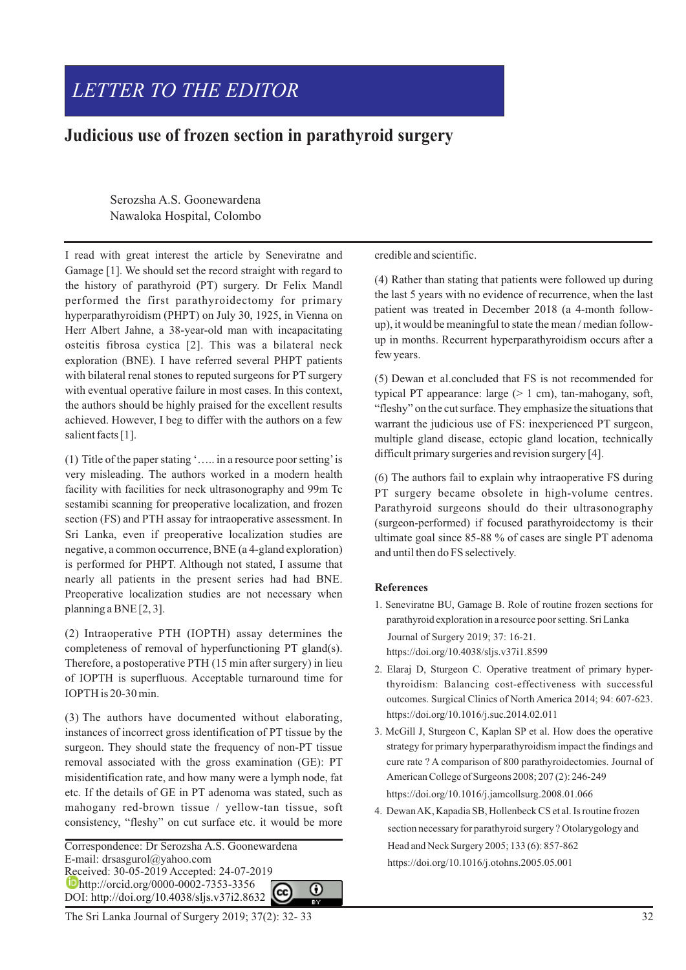# *LETTER TO THE EDITOR*

## **Judicious use of frozen section in parathyroid surgery**

Serozsha A.S. Goonewardena Nawaloka Hospital, Colombo

I read with great interest the article by Seneviratne and Gamage [1]. We should set the record straight with regard to the history of parathyroid (PT) surgery. Dr Felix Mandl performed the first parathyroidectomy for primary hyperparathyroidism (PHPT) on July 30, 1925, in Vienna on Herr Albert Jahne, a 38-year-old man with incapacitating osteitis fibrosa cystica [2]. This was a bilateral neck exploration (BNE). I have referred several PHPT patients with bilateral renal stones to reputed surgeons for PT surgery with eventual operative failure in most cases. In this context, the authors should be highly praised for the excellent results achieved. However, I beg to differ with the authors on a few salient facts [1].

(1) Title of the paper stating '….. in a resource poor setting'is very misleading. The authors worked in a modern health facility with facilities for neck ultrasonography and 99m Tc sestamibi scanning for preoperative localization, and frozen section (FS) and PTH assay for intraoperative assessment. In Sri Lanka, even if preoperative localization studies are negative, a common occurrence, BNE (a 4-gland exploration) is performed for PHPT. Although not stated, I assume that nearly all patients in the present series had had BNE. Preoperative localization studies are not necessary when planning a BNE [2, 3].

(2) Intraoperative PTH (IOPTH) assay determines the completeness of removal of hyperfunctioning PT gland(s). Therefore, a postoperative PTH (15 min after surgery) in lieu of IOPTH is superfluous. Acceptable turnaround time for IOPTH is 20-30 min.

(3) The authors have documented without elaborating, instances of incorrect gross identification of PT tissue by the surgeon. They should state the frequency of non-PT tissue removal associated with the gross examination (GE): PT misidentification rate, and how many were a lymph node, fat etc. If the details of GE in PT adenoma was stated, such as mahogany red-brown tissue / yellow-tan tissue, soft consistency, "fleshy" on cut surface etc. it would be more

E-mail: drsasgurol@yahoo.com Received: 30-05-2019 Accepted: 24-07-2019 **http://orcid.org/0000-0002-7353-3356** DOI: http://doi.org/10.4038/sljs.v37i2.8632

Correspondence: Dr Serozsha A.S. Goonewardena ⋒

The Sri Lanka Journal of Surgery 2019; 37(2): 32-33

credible and scientific.

(4) Rather than stating that patients were followed up during the last 5 years with no evidence of recurrence, when the last patient was treated in December 2018 (a 4-month followup), it would be meaningful to state the mean / median followup in months. Recurrent hyperparathyroidism occurs after a few years.

(5) Dewan et al.concluded that FS is not recommended for typical PT appearance: large  $(> 1 \text{ cm})$ , tan-mahogany, soft, "fleshy" on the cut surface. They emphasize the situations that warrant the judicious use of FS: inexperienced PT surgeon, multiple gland disease, ectopic gland location, technically difficult primary surgeries and revision surgery [4].

(6) The authors fail to explain why intraoperative FS during PT surgery became obsolete in high-volume centres. Parathyroid surgeons should do their ultrasonography (surgeon-performed) if focused parathyroidectomy is their ultimate goal since 85-88 % of cases are single PT adenoma and until then do FS selectively.

#### **References**

- 1. Seneviratne BU, Gamage B. Role of routine frozen sections for parathyroid exploration in a resource poor setting. Sri Lanka Journal of Surgery 2019; 37: 16-21. https://doi.org/10.4038/sljs.v37i1.8599
- 2. Elaraj D, Sturgeon C. Operative treatment of primary hyperthyroidism: Balancing cost-effectiveness with successful outcomes. Surgical Clinics of North America 2014; 94: 607-623. https://doi.org/10.1016/j.suc.2014.02.011
- 3. McGill J, Sturgeon C, Kaplan SP et al. How does the operative strategy for primary hyperparathyroidism impact the findings and cure rate ? A comparison of 800 parathyroidectomies. Journal of American College of Surgeons 2008; 207 (2): 246-249 https://doi.org/10.1016/j.jamcollsurg.2008.01.066
- 4. Dewan AK, Kapadia SB, Hollenbeck CS et al. Is routine frozen section necessary for parathyroid surgery ? Otolarygology and Head and Neck Surgery 2005; 133 (6): 857-862 https://doi.org/10.1016/j.otohns.2005.05.001